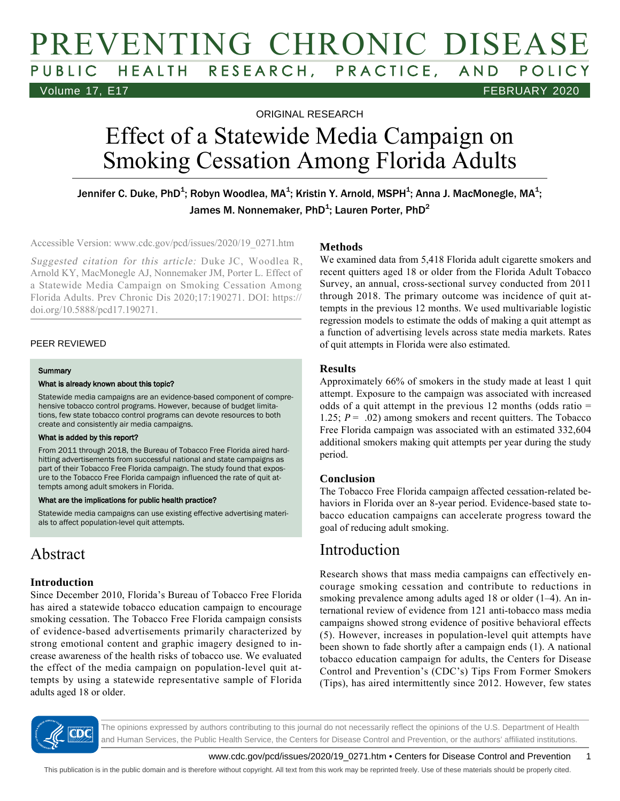# PREVENTING CHRONIC DISEASE PUBLIC HEALTH RESEARCH, PRACTICE, AND POLICY Volume 17, E17 FEBRUARY 2020

ORIGINAL RESEARCH

# Effect of a Statewide Media Campaign on Smoking Cessation Among Florida Adults

Jennifer C. Duke, PhD $^{\! 1}\!;$  Robyn Woodlea, MA $^{\! 1}\!;$  Kristin Y. Arnold, MSPH $^{\! 1}\!;$  Anna J. MacMonegle, MA $^{\! 1}\!;$ James M. Nonnemaker, PhD $^{\text{1}}$ ; Lauren Porter, PhD $^{\text{2}}$ 

Accessible Version: www.cdc.gov/pcd/issues/2020/19\_0271.htm

Suggested citation for this article: Duke JC, Woodlea R, Arnold KY, MacMonegle AJ, Nonnemaker JM, Porter L. Effect of a Statewide Media Campaign on Smoking Cessation Among Florida Adults. Prev Chronic Dis 2020;17:190271. DOI: https:// doi.org/10.5888/pcd17.190271.

### PEER REVIEWED

#### **Summary**

#### What is already known about this topic?

Statewide media campaigns are an evidence-based component of comprehensive tobacco control programs. However, because of budget limitations, few state tobacco control programs can devote resources to both create and consistently air media campaigns.

#### What is added by this report?

From 2011 through 2018, the Bureau of Tobacco Free Florida aired hardhitting advertisements from successful national and state campaigns as part of their Tobacco Free Florida campaign. The study found that exposure to the Tobacco Free Florida campaign influenced the rate of quit attempts among adult smokers in Florida.

#### What are the implications for public health practice?

Statewide media campaigns can use existing effective advertising materials to affect population-level quit attempts.

### Abstract

### **Introduction**

Since December 2010, Florida's Bureau of Tobacco Free Florida has aired a statewide tobacco education campaign to encourage smoking cessation. The Tobacco Free Florida campaign consists of evidence-based advertisements primarily characterized by strong emotional content and graphic imagery designed to increase awareness of the health risks of tobacco use. We evaluated the effect of the media campaign on population-level quit attempts by using a statewide representative sample of Florida adults aged 18 or older.

### **Methods**

We examined data from 5,418 Florida adult cigarette smokers and recent quitters aged 18 or older from the Florida Adult Tobacco Survey, an annual, cross-sectional survey conducted from 2011 through 2018. The primary outcome was incidence of quit attempts in the previous 12 months. We used multivariable logistic regression models to estimate the odds of making a quit attempt as a function of advertising levels across state media markets. Rates of quit attempts in Florida were also estimated.

### **Results**

Approximately 66% of smokers in the study made at least 1 quit attempt. Exposure to the campaign was associated with increased odds of a quit attempt in the previous 12 months (odds ratio  $=$ 1.25;  $P = .02$ ) among smokers and recent quitters. The Tobacco Free Florida campaign was associated with an estimated 332,604 additional smokers making quit attempts per year during the study period.

### **Conclusion**

The Tobacco Free Florida campaign affected cessation-related behaviors in Florida over an 8-year period. Evidence-based state tobacco education campaigns can accelerate progress toward the goal of reducing adult smoking.

### Introduction

Research shows that mass media campaigns can effectively encourage smoking cessation and contribute to reductions in smoking prevalence among adults aged 18 or older (1–4). An international review of evidence from 121 anti-tobacco mass media campaigns showed strong evidence of positive behavioral effects (5). However, increases in population-level quit attempts have been shown to fade shortly after a campaign ends (1). A national tobacco education campaign for adults, the Centers for Disease Control and Prevention's (CDC's) Tips From Former Smokers (Tips), has aired intermittently since 2012. However, few states



The opinions expressed by authors contributing to this journal do not necessarily reflect the opinions of the U.S. Department of Health and Human Services, the Public Health Service, the Centers for Disease Control and Prevention, or the authors' affiliated institutions.

www.cdc.gov/pcd/issues/2020/19\_0271.htm • Centers for Disease Control and Prevention 1

This publication is in the public domain and is therefore without copyright. All text from this work may be reprinted freely. Use of these materials should be properly cited.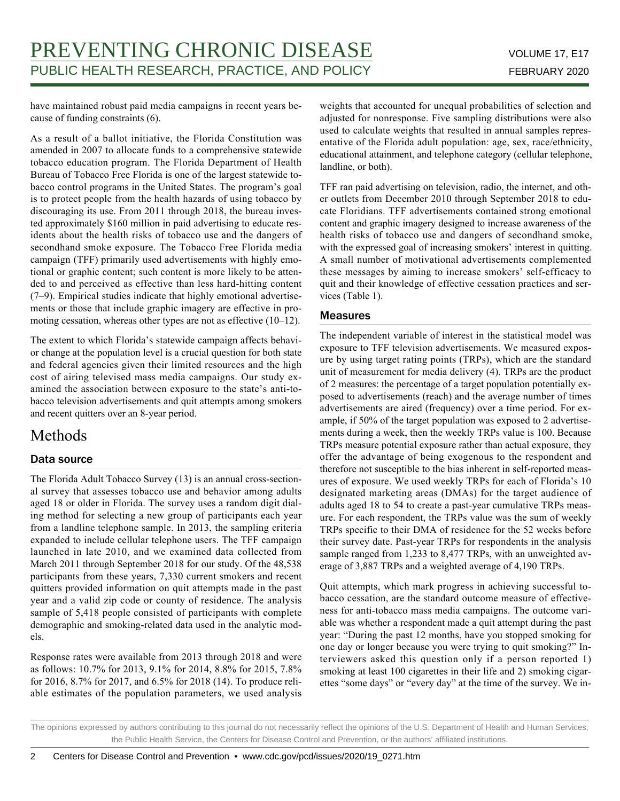have maintained robust paid media campaigns in recent years because of funding constraints (6).

As a result of a ballot initiative, the Florida Constitution was amended in 2007 to allocate funds to a comprehensive statewide tobacco education program. The Florida Department of Health Bureau of Tobacco Free Florida is one of the largest statewide tobacco control programs in the United States. The program's goal is to protect people from the health hazards of using tobacco by discouraging its use. From 2011 through 2018, the bureau invested approximately \$160 million in paid advertising to educate residents about the health risks of tobacco use and the dangers of secondhand smoke exposure. The Tobacco Free Florida media campaign (TFF) primarily used advertisements with highly emotional or graphic content; such content is more likely to be attended to and perceived as effective than less hard-hitting content (7–9). Empirical studies indicate that highly emotional advertisements or those that include graphic imagery are effective in promoting cessation, whereas other types are not as effective (10–12).

The extent to which Florida's statewide campaign affects behavior change at the population level is a crucial question for both state and federal agencies given their limited resources and the high cost of airing televised mass media campaigns. Our study examined the association between exposure to the state's anti-tobacco television advertisements and quit attempts among smokers and recent quitters over an 8-year period.

### Methods

### Data source

The Florida Adult Tobacco Survey (13) is an annual cross-sectional survey that assesses tobacco use and behavior among adults aged 18 or older in Florida. The survey uses a random digit dialing method for selecting a new group of participants each year from a landline telephone sample. In 2013, the sampling criteria expanded to include cellular telephone users. The TFF campaign launched in late 2010, and we examined data collected from March 2011 through September 2018 for our study. Of the 48,538 participants from these years, 7,330 current smokers and recent quitters provided information on quit attempts made in the past year and a valid zip code or county of residence. The analysis sample of 5,418 people consisted of participants with complete demographic and smoking-related data used in the analytic models.

Response rates were available from 2013 through 2018 and were as follows: 10.7% for 2013, 9.1% for 2014, 8.8% for 2015, 7.8% for 2016, 8.7% for 2017, and 6.5% for 2018 (14). To produce reliable estimates of the population parameters, we used analysis weights that accounted for unequal probabilities of selection and adjusted for nonresponse. Five sampling distributions were also used to calculate weights that resulted in annual samples representative of the Florida adult population: age, sex, race/ethnicity, educational attainment, and telephone category (cellular telephone, landline, or both).

TFF ran paid advertising on television, radio, the internet, and other outlets from December 2010 through September 2018 to educate Floridians. TFF advertisements contained strong emotional content and graphic imagery designed to increase awareness of the health risks of tobacco use and dangers of secondhand smoke, with the expressed goal of increasing smokers' interest in quitting. A small number of motivational advertisements complemented these messages by aiming to increase smokers' self-efficacy to quit and their knowledge of effective cessation practices and services (Table 1).

### **Measures**

The independent variable of interest in the statistical model was exposure to TFF television advertisements. We measured exposure by using target rating points (TRPs), which are the standard unit of measurement for media delivery (4). TRPs are the product of 2 measures: the percentage of a target population potentially exposed to advertisements (reach) and the average number of times advertisements are aired (frequency) over a time period. For example, if 50% of the target population was exposed to 2 advertisements during a week, then the weekly TRPs value is 100. Because TRPs measure potential exposure rather than actual exposure, they offer the advantage of being exogenous to the respondent and therefore not susceptible to the bias inherent in self-reported measures of exposure. We used weekly TRPs for each of Florida's 10 designated marketing areas (DMAs) for the target audience of adults aged 18 to 54 to create a past-year cumulative TRPs measure. For each respondent, the TRPs value was the sum of weekly TRPs specific to their DMA of residence for the 52 weeks before their survey date. Past-year TRPs for respondents in the analysis sample ranged from 1,233 to 8,477 TRPs, with an unweighted average of 3,887 TRPs and a weighted average of 4,190 TRPs.

Quit attempts, which mark progress in achieving successful tobacco cessation, are the standard outcome measure of effectiveness for anti-tobacco mass media campaigns. The outcome variable was whether a respondent made a quit attempt during the past year: "During the past 12 months, have you stopped smoking for one day or longer because you were trying to quit smoking?" Interviewers asked this question only if a person reported 1) smoking at least 100 cigarettes in their life and 2) smoking cigarettes "some days" or "every day" at the time of the survey. We in-

The opinions expressed by authors contributing to this journal do not necessarily reflect the opinions of the U.S. Department of Health and Human Services, the Public Health Service, the Centers for Disease Control and Prevention, or the authors' affiliated institutions.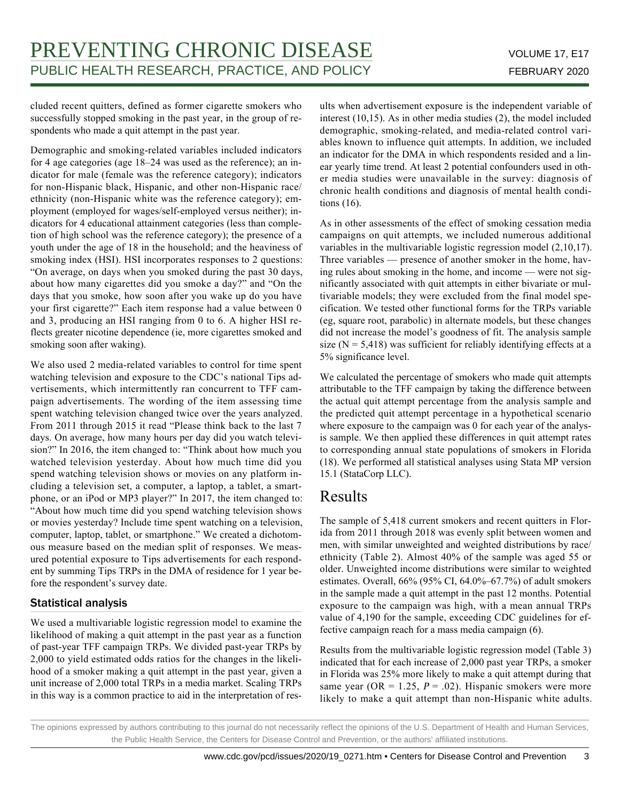cluded recent quitters, defined as former cigarette smokers who successfully stopped smoking in the past year, in the group of respondents who made a quit attempt in the past year.

Demographic and smoking-related variables included indicators for 4 age categories (age 18–24 was used as the reference); an indicator for male (female was the reference category); indicators for non-Hispanic black, Hispanic, and other non-Hispanic race/ ethnicity (non-Hispanic white was the reference category); employment (employed for wages/self-employed versus neither); indicators for 4 educational attainment categories (less than completion of high school was the reference category); the presence of a youth under the age of 18 in the household; and the heaviness of smoking index (HSI). HSI incorporates responses to 2 questions: "On average, on days when you smoked during the past 30 days, about how many cigarettes did you smoke a day?" and "On the days that you smoke, how soon after you wake up do you have your first cigarette?" Each item response had a value between 0 and 3, producing an HSI ranging from 0 to 6. A higher HSI reflects greater nicotine dependence (ie, more cigarettes smoked and smoking soon after waking).

We also used 2 media-related variables to control for time spent watching television and exposure to the CDC's national Tips advertisements, which intermittently ran concurrent to TFF campaign advertisements. The wording of the item assessing time spent watching television changed twice over the years analyzed. From 2011 through 2015 it read "Please think back to the last 7 days. On average, how many hours per day did you watch television?" In 2016, the item changed to: "Think about how much you watched television yesterday. About how much time did you spend watching television shows or movies on any platform including a television set, a computer, a laptop, a tablet, a smartphone, or an iPod or MP3 player?" In 2017, the item changed to: "About how much time did you spend watching television shows or movies yesterday? Include time spent watching on a television, computer, laptop, tablet, or smartphone." We created a dichotomous measure based on the median split of responses. We measured potential exposure to Tips advertisements for each respondent by summing Tips TRPs in the DMA of residence for 1 year before the respondent's survey date.

### Statistical analysis

We used a multivariable logistic regression model to examine the likelihood of making a quit attempt in the past year as a function of past-year TFF campaign TRPs. We divided past-year TRPs by 2,000 to yield estimated odds ratios for the changes in the likelihood of a smoker making a quit attempt in the past year, given a unit increase of 2,000 total TRPs in a media market. Scaling TRPs in this way is a common practice to aid in the interpretation of results when advertisement exposure is the independent variable of interest (10,15). As in other media studies (2), the model included demographic, smoking-related, and media-related control variables known to influence quit attempts. In addition, we included an indicator for the DMA in which respondents resided and a linear yearly time trend. At least 2 potential confounders used in other media studies were unavailable in the survey: diagnosis of chronic health conditions and diagnosis of mental health conditions (16).

As in other assessments of the effect of smoking cessation media campaigns on quit attempts, we included numerous additional variables in the multivariable logistic regression model (2,10,17). Three variables — presence of another smoker in the home, having rules about smoking in the home, and income — were not significantly associated with quit attempts in either bivariate or multivariable models; they were excluded from the final model specification. We tested other functional forms for the TRPs variable (eg, square root, parabolic) in alternate models, but these changes did not increase the model's goodness of fit. The analysis sample size  $(N = 5,418)$  was sufficient for reliably identifying effects at a 5% significance level.

We calculated the percentage of smokers who made quit attempts attributable to the TFF campaign by taking the difference between the actual quit attempt percentage from the analysis sample and the predicted quit attempt percentage in a hypothetical scenario where exposure to the campaign was 0 for each year of the analysis sample. We then applied these differences in quit attempt rates to corresponding annual state populations of smokers in Florida (18). We performed all statistical analyses using Stata MP version 15.1 (StataCorp LLC).

### Results

The sample of 5,418 current smokers and recent quitters in Florida from 2011 through 2018 was evenly split between women and men, with similar unweighted and weighted distributions by race/ ethnicity (Table 2). Almost 40% of the sample was aged 55 or older. Unweighted income distributions were similar to weighted estimates. Overall, 66% (95% CI, 64.0%–67.7%) of adult smokers in the sample made a quit attempt in the past 12 months. Potential exposure to the campaign was high, with a mean annual TRPs value of 4,190 for the sample, exceeding CDC guidelines for effective campaign reach for a mass media campaign (6).

Results from the multivariable logistic regression model (Table 3) indicated that for each increase of 2,000 past year TRPs, a smoker in Florida was 25% more likely to make a quit attempt during that same year (OR = 1.25,  $P = .02$ ). Hispanic smokers were more likely to make a quit attempt than non-Hispanic white adults.

The opinions expressed by authors contributing to this journal do not necessarily reflect the opinions of the U.S. Department of Health and Human Services, the Public Health Service, the Centers for Disease Control and Prevention, or the authors' affiliated institutions.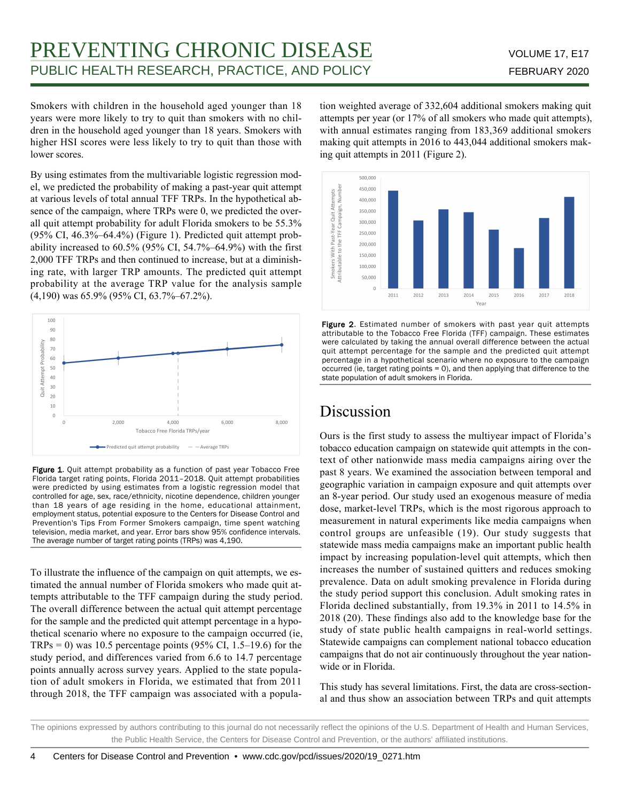# PREVENTING CHRONIC DISEASE VOLUME 17, E17 PUBLIC HEALTH RESEARCH, PRACTICE, AND POLICY FEBRUARY 2020

Smokers with children in the household aged younger than 18 years were more likely to try to quit than smokers with no children in the household aged younger than 18 years. Smokers with higher HSI scores were less likely to try to quit than those with lower scores.

By using estimates from the multivariable logistic regression model, we predicted the probability of making a past-year quit attempt at various levels of total annual TFF TRPs. In the hypothetical absence of the campaign, where TRPs were 0, we predicted the overall quit attempt probability for adult Florida smokers to be 55.3% (95% CI, 46.3%–64.4%) (Figure 1). Predicted quit attempt probability increased to  $60.5\%$  (95% CI, 54.7%–64.9%) with the first 2,000 TFF TRPs and then continued to increase, but at a diminishing rate, with larger TRP amounts. The predicted quit attempt probability at the average TRP value for the analysis sample (4,190) was 65.9% (95% CI, 63.7%–67.2%).



Figure 1. Quit attempt probability as a function of past year Tobacco Free Florida target rating points, Florida 2011–2018. Quit attempt probabilities were predicted by using estimates from a logistic regression model that controlled for age, sex, race/ethnicity, nicotine dependence, children younger than 18 years of age residing in the home, educational attainment, employment status, potential exposure to the Centers for Disease Control and Prevention's Tips From Former Smokers campaign, time spent watching television, media market, and year. Error bars show 95% confidence intervals. The average number of target rating points (TRPs) was 4,190.

To illustrate the influence of the campaign on quit attempts, we estimated the annual number of Florida smokers who made quit attempts attributable to the TFF campaign during the study period. The overall difference between the actual quit attempt percentage for the sample and the predicted quit attempt percentage in a hypothetical scenario where no exposure to the campaign occurred (ie,  $TRPs = 0$ ) was 10.5 percentage points (95% CI, 1.5–19.6) for the study period, and differences varied from 6.6 to 14.7 percentage points annually across survey years. Applied to the state population of adult smokers in Florida, we estimated that from 2011 through 2018, the TFF campaign was associated with a population weighted average of 332,604 additional smokers making quit attempts per year (or 17% of all smokers who made quit attempts), with annual estimates ranging from 183,369 additional smokers making quit attempts in 2016 to 443,044 additional smokers making quit attempts in 2011 (Figure 2).



Figure 2. Estimated number of smokers with past year quit attempts attributable to the Tobacco Free Florida (TFF) campaign. These estimates were calculated by taking the annual overall difference between the actual quit attempt percentage for the sample and the predicted quit attempt percentage in a hypothetical scenario where no exposure to the campaign occurred (ie, target rating points = 0), and then applying that difference to the state population of adult smokers in Florida.

### **Discussion**

Ours is the first study to assess the multiyear impact of Florida's tobacco education campaign on statewide quit attempts in the context of other nationwide mass media campaigns airing over the past 8 years. We examined the association between temporal and geographic variation in campaign exposure and quit attempts over an 8-year period. Our study used an exogenous measure of media dose, market-level TRPs, which is the most rigorous approach to measurement in natural experiments like media campaigns when control groups are unfeasible (19). Our study suggests that statewide mass media campaigns make an important public health impact by increasing population-level quit attempts, which then increases the number of sustained quitters and reduces smoking prevalence. Data on adult smoking prevalence in Florida during the study period support this conclusion. Adult smoking rates in Florida declined substantially, from 19.3% in 2011 to 14.5% in 2018 (20). These findings also add to the knowledge base for the study of state public health campaigns in real-world settings. Statewide campaigns can complement national tobacco education campaigns that do not air continuously throughout the year nationwide or in Florida.

This study has several limitations. First, the data are cross-sectional and thus show an association between TRPs and quit attempts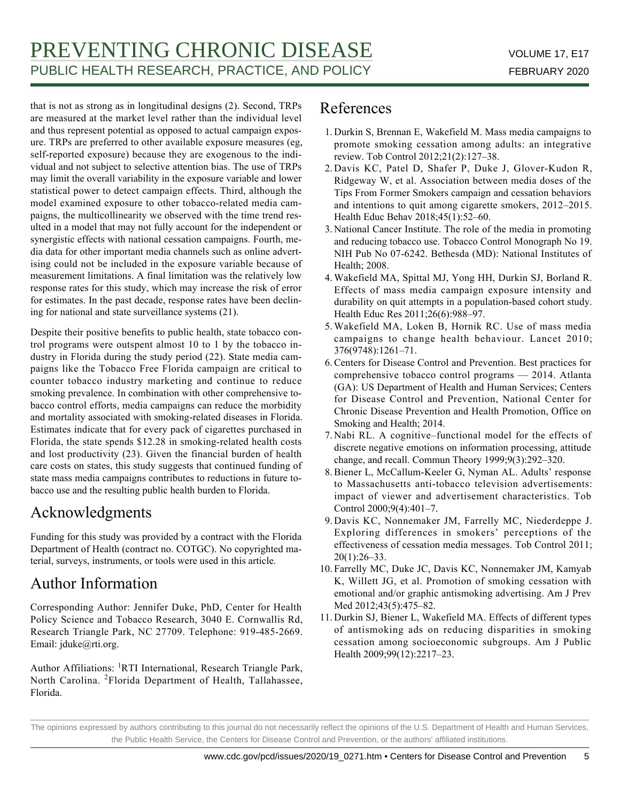that is not as strong as in longitudinal designs (2). Second, TRPs are measured at the market level rather than the individual level and thus represent potential as opposed to actual campaign exposure. TRPs are preferred to other available exposure measures (eg, self-reported exposure) because they are exogenous to the individual and not subject to selective attention bias. The use of TRPs may limit the overall variability in the exposure variable and lower statistical power to detect campaign effects. Third, although the model examined exposure to other tobacco-related media campaigns, the multicollinearity we observed with the time trend resulted in a model that may not fully account for the independent or synergistic effects with national cessation campaigns. Fourth, media data for other important media channels such as online advertising could not be included in the exposure variable because of measurement limitations. A final limitation was the relatively low response rates for this study, which may increase the risk of error for estimates. In the past decade, response rates have been declining for national and state surveillance systems (21).

Despite their positive benefits to public health, state tobacco control programs were outspent almost 10 to 1 by the tobacco industry in Florida during the study period (22). State media campaigns like the Tobacco Free Florida campaign are critical to counter tobacco industry marketing and continue to reduce smoking prevalence. In combination with other comprehensive tobacco control efforts, media campaigns can reduce the morbidity and mortality associated with smoking-related diseases in Florida. Estimates indicate that for every pack of cigarettes purchased in Florida, the state spends \$12.28 in smoking-related health costs and lost productivity (23). Given the financial burden of health care costs on states, this study suggests that continued funding of state mass media campaigns contributes to reductions in future tobacco use and the resulting public health burden to Florida.

## Acknowledgments

Funding for this study was provided by a contract with the Florida Department of Health (contract no. COTGC). No copyrighted material, surveys, instruments, or tools were used in this article.

# Author Information

Corresponding Author: Jennifer Duke, PhD, Center for Health Policy Science and Tobacco Research, 3040 E. Cornwallis Rd, Research Triangle Park, NC 27709. Telephone: 919-485-2669. Email: jduke@rti.org.

Author Affiliations: <sup>1</sup>RTI International, Research Triangle Park, North Carolina. <sup>2</sup>Florida Department of Health, Tallahassee, Florida.

## References

- 1. Durkin S, Brennan E, Wakefield M. Mass media campaigns to promote smoking cessation among adults: an integrative review. Tob Control 2012;21(2):127–38.
- 2. Davis KC, Patel D, Shafer P, Duke J, Glover-Kudon R, Ridgeway W, et al. Association between media doses of the Tips From Former Smokers campaign and cessation behaviors and intentions to quit among cigarette smokers, 2012–2015. Health Educ Behav 2018;45(1):52–60.
- 3. National Cancer Institute. The role of the media in promoting and reducing tobacco use. Tobacco Control Monograph No 19. NIH Pub No 07-6242. Bethesda (MD): National Institutes of Health; 2008.
- Wakefield MA, Spittal MJ, Yong HH, Durkin SJ, Borland R. 4. Effects of mass media campaign exposure intensity and durability on quit attempts in a population-based cohort study. Health Educ Res 2011;26(6):988–97.
- 5. Wakefield MA, Loken B, Hornik RC. Use of mass media campaigns to change health behaviour. Lancet 2010; 376(9748):1261–71.
- Centers for Disease Control and Prevention. Best practices for 6. comprehensive tobacco control programs — 2014. Atlanta (GA): US Department of Health and Human Services; Centers for Disease Control and Prevention, National Center for Chronic Disease Prevention and Health Promotion, Office on Smoking and Health; 2014.
- 7. Nabi RL. A cognitive–functional model for the effects of discrete negative emotions on information processing, attitude change, and recall. Commun Theory 1999;9(3):292–320.
- 8. Biener L, McCallum-Keeler G, Nyman AL. Adults' response to Massachusetts anti-tobacco television advertisements: impact of viewer and advertisement characteristics. Tob Control 2000;9(4):401–7.
- 9. Davis KC, Nonnemaker JM, Farrelly MC, Niederdeppe J. Exploring differences in smokers' perceptions of the effectiveness of cessation media messages. Tob Control 2011; 20(1):26–33.
- 10. Farrelly MC, Duke JC, Davis KC, Nonnemaker JM, Kamyab K, Willett JG, et al. Promotion of smoking cessation with emotional and/or graphic antismoking advertising. Am J Prev Med 2012;43(5):475–82.
- 11. Durkin SJ, Biener L, Wakefield MA. Effects of different types of antismoking ads on reducing disparities in smoking cessation among socioeconomic subgroups. Am J Public Health 2009;99(12):2217–23.

The opinions expressed by authors contributing to this journal do not necessarily reflect the opinions of the U.S. Department of Health and Human Services, the Public Health Service, the Centers for Disease Control and Prevention, or the authors' affiliated institutions.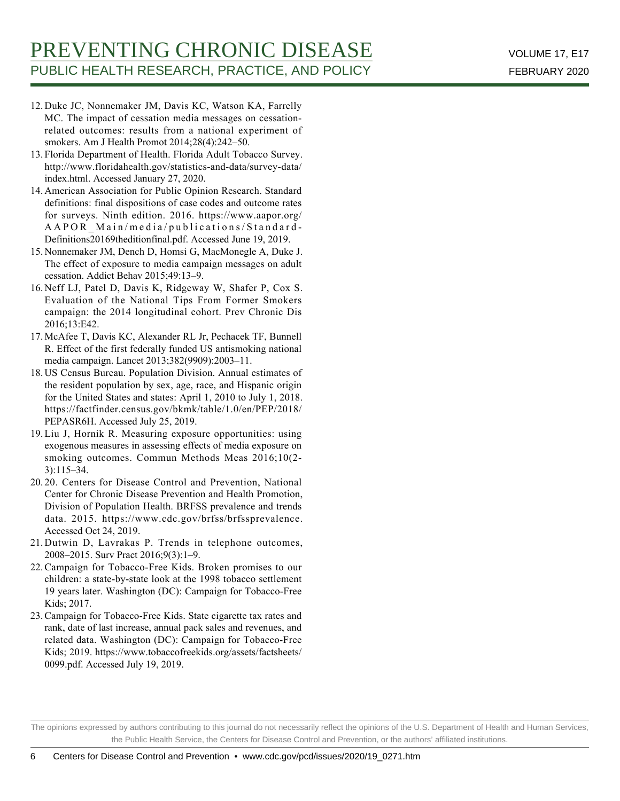- 12. Duke JC, Nonnemaker JM, Davis KC, Watson KA, Farrelly MC. The impact of cessation media messages on cessationrelated outcomes: results from a national experiment of smokers. Am J Health Promot 2014;28(4):242–50.
- 13. Florida Department of Health. Florida Adult Tobacco Survey. http://www.floridahealth.gov/statistics-and-data/survey-data/ index.html. Accessed January 27, 2020.
- 14. American Association for Public Opinion Research. Standard definitions: final dispositions of case codes and outcome rates for surveys. Ninth edition. 2016. https://www.aapor.org/ AAPOR\_Main/media/publications/Standard-Definitions20169theditionfinal.pdf. Accessed June 19, 2019.
- 15. Nonnemaker JM, Dench D, Homsi G, MacMonegle A, Duke J. The effect of exposure to media campaign messages on adult cessation. Addict Behav 2015;49:13–9.
- 16. Neff LJ, Patel D, Davis K, Ridgeway W, Shafer P, Cox S. Evaluation of the National Tips From Former Smokers campaign: the 2014 longitudinal cohort. Prev Chronic Dis 2016;13:E42.
- 17. McAfee T, Davis KC, Alexander RL Jr, Pechacek TF, Bunnell R. Effect of the first federally funded US antismoking national media campaign. Lancet 2013;382(9909):2003–11.
- 18. US Census Bureau. Population Division. Annual estimates of the resident population by sex, age, race, and Hispanic origin for the United States and states: April 1, 2010 to July 1, 2018. https://factfinder.census.gov/bkmk/table/1.0/en/PEP/2018/ PEPASR6H. Accessed July 25, 2019.
- 19. Liu J, Hornik R. Measuring exposure opportunities: using exogenous measures in assessing effects of media exposure on smoking outcomes. Commun Methods Meas 2016;10(2- 3):115–34.
- 20. Centers for Disease Control and Prevention, National 20. Center for Chronic Disease Prevention and Health Promotion, Division of Population Health. BRFSS prevalence and trends data. 2015. https://www.cdc.gov/brfss/brfssprevalence. Accessed Oct 24, 2019.
- 21. Dutwin D, Lavrakas P. Trends in telephone outcomes, 2008–2015. Surv Pract 2016;9(3):1–9.
- 22. Campaign for Tobacco-Free Kids. Broken promises to our children: a state-by-state look at the 1998 tobacco settlement 19 years later. Washington (DC): Campaign for Tobacco-Free Kids; 2017.
- 23. Campaign for Tobacco-Free Kids. State cigarette tax rates and rank, date of last increase, annual pack sales and revenues, and related data. Washington (DC): Campaign for Tobacco-Free Kids; 2019. https://www.tobaccofreekids.org/assets/factsheets/ 0099.pdf. Accessed July 19, 2019.

The opinions expressed by authors contributing to this journal do not necessarily reflect the opinions of the U.S. Department of Health and Human Services, the Public Health Service, the Centers for Disease Control and Prevention, or the authors' affiliated institutions.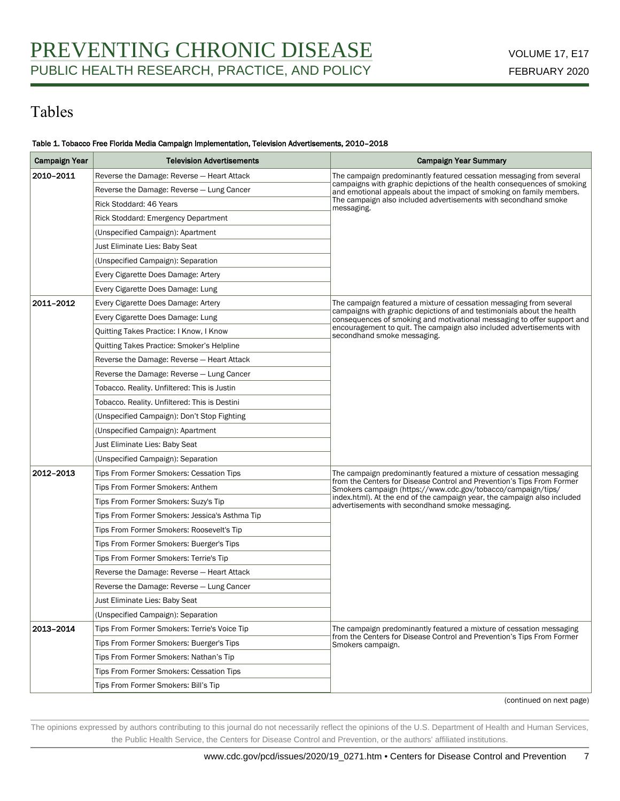# Tables

### Table 1. Tobacco Free Florida Media Campaign Implementation, Television Advertisements, 2010–2018

| <b>Campaign Year</b> | <b>Television Advertisements</b>                  | <b>Campaign Year Summary</b>                                                                                                                                        |  |
|----------------------|---------------------------------------------------|---------------------------------------------------------------------------------------------------------------------------------------------------------------------|--|
| 2010-2011            | Reverse the Damage: Reverse - Heart Attack        | The campaign predominantly featured cessation messaging from several                                                                                                |  |
|                      | Reverse the Damage: Reverse - Lung Cancer         | campaigns with graphic depictions of the health consequences of smoking<br>and emotional appeals about the impact of smoking on family members.                     |  |
|                      | Rick Stoddard: 46 Years                           | The campaign also included advertisements with secondhand smoke<br>messaging.                                                                                       |  |
|                      | Rick Stoddard: Emergency Department               |                                                                                                                                                                     |  |
|                      | (Unspecified Campaign): Apartment                 |                                                                                                                                                                     |  |
|                      | Just Eliminate Lies: Baby Seat                    |                                                                                                                                                                     |  |
|                      | (Unspecified Campaign): Separation                |                                                                                                                                                                     |  |
|                      | Every Cigarette Does Damage: Artery               |                                                                                                                                                                     |  |
|                      | Every Cigarette Does Damage: Lung                 |                                                                                                                                                                     |  |
| 2011-2012            | Every Cigarette Does Damage: Artery               | The campaign featured a mixture of cessation messaging from several                                                                                                 |  |
|                      | Every Cigarette Does Damage: Lung                 | campaigns with graphic depictions of and testimonials about the health<br>consequences of smoking and motivational messaging to offer support and                   |  |
|                      | Quitting Takes Practice: I Know, I Know           | encouragement to quit. The campaign also included advertisements with<br>secondhand smoke messaging.                                                                |  |
|                      | <b>Quitting Takes Practice: Smoker's Helpline</b> |                                                                                                                                                                     |  |
|                      | Reverse the Damage: Reverse - Heart Attack        |                                                                                                                                                                     |  |
|                      | Reverse the Damage: Reverse - Lung Cancer         |                                                                                                                                                                     |  |
|                      | Tobacco. Reality. Unfiltered: This is Justin      |                                                                                                                                                                     |  |
|                      | Tobacco. Reality. Unfiltered: This is Destini     |                                                                                                                                                                     |  |
|                      | (Unspecified Campaign): Don't Stop Fighting       |                                                                                                                                                                     |  |
|                      | (Unspecified Campaign): Apartment                 |                                                                                                                                                                     |  |
|                      | Just Eliminate Lies: Baby Seat                    |                                                                                                                                                                     |  |
|                      | (Unspecified Campaign): Separation                |                                                                                                                                                                     |  |
| 2012-2013            | Tips From Former Smokers: Cessation Tips          | The campaign predominantly featured a mixture of cessation messaging<br>from the Centers for Disease Control and Prevention's Tips From Former                      |  |
|                      | Tips From Former Smokers: Anthem                  | Smokers campaign (https://www.cdc.gov/tobacco/campaign/tips/                                                                                                        |  |
|                      | Tips From Former Smokers: Suzy's Tip              | index.html). At the end of the campaign year, the campaign also included<br>advertisements with secondhand smoke messaging.                                         |  |
|                      | Tips From Former Smokers: Jessica's Asthma Tip    |                                                                                                                                                                     |  |
|                      | Tips From Former Smokers: Roosevelt's Tip         |                                                                                                                                                                     |  |
|                      | Tips From Former Smokers: Buerger's Tips          |                                                                                                                                                                     |  |
|                      | Tips From Former Smokers: Terrie's Tip            |                                                                                                                                                                     |  |
|                      | Reverse the Damage: Reverse - Heart Attack        |                                                                                                                                                                     |  |
|                      | Reverse the Damage: Reverse - Lung Cancer         |                                                                                                                                                                     |  |
|                      | Just Eliminate Lies: Baby Seat                    |                                                                                                                                                                     |  |
|                      | (Unspecified Campaign): Separation                |                                                                                                                                                                     |  |
| 2013-2014            | Tips From Former Smokers: Terrie's Voice Tip      | The campaign predominantly featured a mixture of cessation messaging<br>from the Centers for Disease Control and Prevention's Tips From Former<br>Smokers campaign. |  |
|                      | Tips From Former Smokers: Buerger's Tips          |                                                                                                                                                                     |  |
|                      | Tips From Former Smokers: Nathan's Tip            |                                                                                                                                                                     |  |
|                      | Tips From Former Smokers: Cessation Tips          |                                                                                                                                                                     |  |
|                      | Tips From Former Smokers: Bill's Tip              |                                                                                                                                                                     |  |

(continued on next page)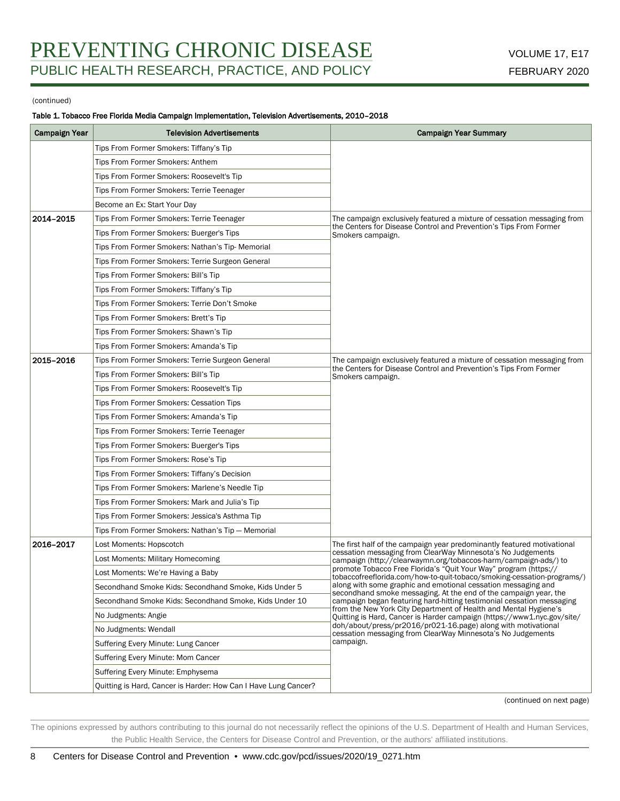#### (continued)

### Table 1. Tobacco Free Florida Media Campaign Implementation, Television Advertisements, 2010–2018

| <b>Campaign Year</b> | <b>Television Advertisements</b>                                | <b>Campaign Year Summary</b>                                                                                                                                                                                                                                                                                                                                                                                                                                                                                                                                                                                                            |  |  |
|----------------------|-----------------------------------------------------------------|-----------------------------------------------------------------------------------------------------------------------------------------------------------------------------------------------------------------------------------------------------------------------------------------------------------------------------------------------------------------------------------------------------------------------------------------------------------------------------------------------------------------------------------------------------------------------------------------------------------------------------------------|--|--|
|                      | Tips From Former Smokers: Tiffany's Tip                         |                                                                                                                                                                                                                                                                                                                                                                                                                                                                                                                                                                                                                                         |  |  |
|                      | Tips From Former Smokers: Anthem                                |                                                                                                                                                                                                                                                                                                                                                                                                                                                                                                                                                                                                                                         |  |  |
|                      | Tips From Former Smokers: Roosevelt's Tip                       |                                                                                                                                                                                                                                                                                                                                                                                                                                                                                                                                                                                                                                         |  |  |
|                      | Tips From Former Smokers: Terrie Teenager                       |                                                                                                                                                                                                                                                                                                                                                                                                                                                                                                                                                                                                                                         |  |  |
|                      | Become an Ex: Start Your Day                                    |                                                                                                                                                                                                                                                                                                                                                                                                                                                                                                                                                                                                                                         |  |  |
| 2014-2015            | Tips From Former Smokers: Terrie Teenager                       | The campaign exclusively featured a mixture of cessation messaging from<br>the Centers for Disease Control and Prevention's Tips From Former<br>Smokers campaign.                                                                                                                                                                                                                                                                                                                                                                                                                                                                       |  |  |
|                      | Tips From Former Smokers: Buerger's Tips                        |                                                                                                                                                                                                                                                                                                                                                                                                                                                                                                                                                                                                                                         |  |  |
|                      | Tips From Former Smokers: Nathan's Tip- Memorial                |                                                                                                                                                                                                                                                                                                                                                                                                                                                                                                                                                                                                                                         |  |  |
|                      | Tips From Former Smokers: Terrie Surgeon General                |                                                                                                                                                                                                                                                                                                                                                                                                                                                                                                                                                                                                                                         |  |  |
|                      | Tips From Former Smokers: Bill's Tip                            |                                                                                                                                                                                                                                                                                                                                                                                                                                                                                                                                                                                                                                         |  |  |
|                      | Tips From Former Smokers: Tiffany's Tip                         |                                                                                                                                                                                                                                                                                                                                                                                                                                                                                                                                                                                                                                         |  |  |
|                      | Tips From Former Smokers: Terrie Don't Smoke                    |                                                                                                                                                                                                                                                                                                                                                                                                                                                                                                                                                                                                                                         |  |  |
|                      | Tips From Former Smokers: Brett's Tip                           |                                                                                                                                                                                                                                                                                                                                                                                                                                                                                                                                                                                                                                         |  |  |
|                      | Tips From Former Smokers: Shawn's Tip                           |                                                                                                                                                                                                                                                                                                                                                                                                                                                                                                                                                                                                                                         |  |  |
|                      | Tips From Former Smokers: Amanda's Tip                          |                                                                                                                                                                                                                                                                                                                                                                                                                                                                                                                                                                                                                                         |  |  |
| 2015-2016            | Tips From Former Smokers: Terrie Surgeon General                | The campaign exclusively featured a mixture of cessation messaging from                                                                                                                                                                                                                                                                                                                                                                                                                                                                                                                                                                 |  |  |
|                      | Tips From Former Smokers: Bill's Tip                            | the Centers for Disease Control and Prevention's Tips From Former<br>Smokers campaign.                                                                                                                                                                                                                                                                                                                                                                                                                                                                                                                                                  |  |  |
|                      | Tips From Former Smokers: Roosevelt's Tip                       |                                                                                                                                                                                                                                                                                                                                                                                                                                                                                                                                                                                                                                         |  |  |
|                      | Tips From Former Smokers: Cessation Tips                        |                                                                                                                                                                                                                                                                                                                                                                                                                                                                                                                                                                                                                                         |  |  |
|                      | Tips From Former Smokers: Amanda's Tip                          |                                                                                                                                                                                                                                                                                                                                                                                                                                                                                                                                                                                                                                         |  |  |
|                      | Tips From Former Smokers: Terrie Teenager                       |                                                                                                                                                                                                                                                                                                                                                                                                                                                                                                                                                                                                                                         |  |  |
|                      | Tips From Former Smokers: Buerger's Tips                        |                                                                                                                                                                                                                                                                                                                                                                                                                                                                                                                                                                                                                                         |  |  |
|                      | Tips From Former Smokers: Rose's Tip                            |                                                                                                                                                                                                                                                                                                                                                                                                                                                                                                                                                                                                                                         |  |  |
|                      | Tips From Former Smokers: Tiffany's Decision                    |                                                                                                                                                                                                                                                                                                                                                                                                                                                                                                                                                                                                                                         |  |  |
|                      | Tips From Former Smokers: Marlene's Needle Tip                  |                                                                                                                                                                                                                                                                                                                                                                                                                                                                                                                                                                                                                                         |  |  |
|                      | Tips From Former Smokers: Mark and Julia's Tip                  |                                                                                                                                                                                                                                                                                                                                                                                                                                                                                                                                                                                                                                         |  |  |
|                      | Tips From Former Smokers: Jessica's Asthma Tip                  |                                                                                                                                                                                                                                                                                                                                                                                                                                                                                                                                                                                                                                         |  |  |
|                      | Tips From Former Smokers: Nathan's Tip - Memorial               |                                                                                                                                                                                                                                                                                                                                                                                                                                                                                                                                                                                                                                         |  |  |
| 2016-2017            | Lost Moments: Hopscotch                                         | The first half of the campaign year predominantly featured motivational                                                                                                                                                                                                                                                                                                                                                                                                                                                                                                                                                                 |  |  |
|                      | Lost Moments: Military Homecoming                               | cessation messaging from ClearWay Minnesota's No Judgements<br>campaign (http://clearwaymn.org/tobaccos-harm/campaign-ads/) to                                                                                                                                                                                                                                                                                                                                                                                                                                                                                                          |  |  |
|                      | Lost Moments: We're Having a Baby                               | promote Tobacco Free Florida's "Quit Your Way" program (https://<br>tobaccofreeflorida.com/how-to-quit-tobaco/smoking-cessation-programs/)<br>along with some graphic and emotional cessation messaging and<br>secondhand smoke messaging. At the end of the campaign year, the<br>campaign began featuring hard-hitting testimonial cessation messaging<br>from the New York City Department of Health and Mental Hygiene's<br>Ouitting is Hard, Cancer is Harder campaign (https://www1.nyc.gov/site/<br>doh/about/press/pr2016/pr021-16.page) along with motivational<br>cessation messaging from ClearWay Minnesota's No Judgements |  |  |
|                      | Secondhand Smoke Kids: Secondhand Smoke, Kids Under 5           |                                                                                                                                                                                                                                                                                                                                                                                                                                                                                                                                                                                                                                         |  |  |
|                      | Secondhand Smoke Kids: Secondhand Smoke, Kids Under 10          |                                                                                                                                                                                                                                                                                                                                                                                                                                                                                                                                                                                                                                         |  |  |
|                      | No Judgments: Angie                                             |                                                                                                                                                                                                                                                                                                                                                                                                                                                                                                                                                                                                                                         |  |  |
|                      | No Judgments: Wendall                                           |                                                                                                                                                                                                                                                                                                                                                                                                                                                                                                                                                                                                                                         |  |  |
|                      | Suffering Every Minute: Lung Cancer                             | campaign.                                                                                                                                                                                                                                                                                                                                                                                                                                                                                                                                                                                                                               |  |  |
|                      | Suffering Every Minute: Mom Cancer                              |                                                                                                                                                                                                                                                                                                                                                                                                                                                                                                                                                                                                                                         |  |  |
|                      | Suffering Every Minute: Emphysema                               |                                                                                                                                                                                                                                                                                                                                                                                                                                                                                                                                                                                                                                         |  |  |
|                      | Quitting is Hard, Cancer is Harder: How Can I Have Lung Cancer? |                                                                                                                                                                                                                                                                                                                                                                                                                                                                                                                                                                                                                                         |  |  |

(continued on next page)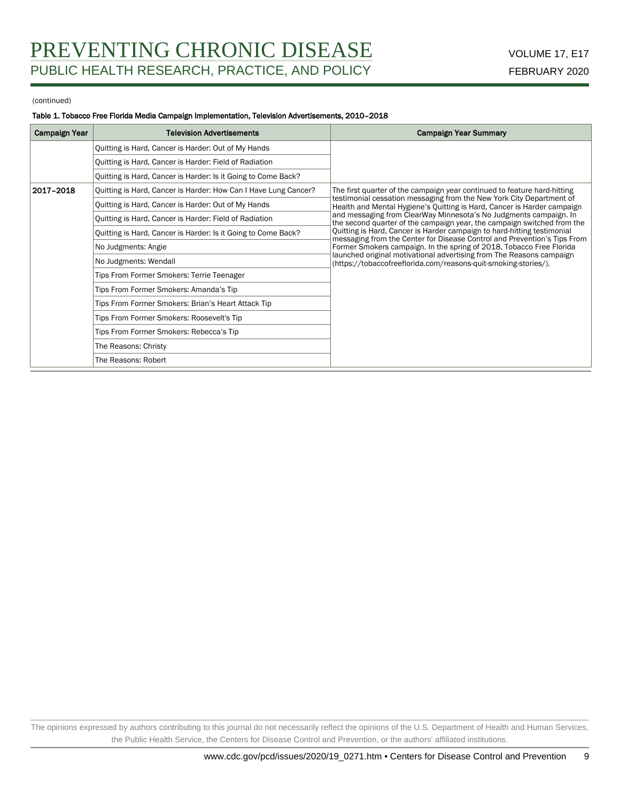#### (continued)

### Table 1. Tobacco Free Florida Media Campaign Implementation, Television Advertisements, 2010–2018

| Campaign Year | <b>Television Advertisements</b>                                | <b>Campaign Year Summary</b>                                                                                                                                                                                    |  |  |
|---------------|-----------------------------------------------------------------|-----------------------------------------------------------------------------------------------------------------------------------------------------------------------------------------------------------------|--|--|
|               | Quitting is Hard, Cancer is Harder: Out of My Hands             |                                                                                                                                                                                                                 |  |  |
|               | Quitting is Hard, Cancer is Harder: Field of Radiation          |                                                                                                                                                                                                                 |  |  |
|               | Quitting is Hard, Cancer is Harder: Is it Going to Come Back?   |                                                                                                                                                                                                                 |  |  |
| 2017-2018     | Quitting is Hard, Cancer is Harder: How Can I Have Lung Cancer? | The first quarter of the campaign year continued to feature hard-hitting                                                                                                                                        |  |  |
|               | Quitting is Hard, Cancer is Harder: Out of My Hands             | testimonial cessation messaging from the New York City Department of<br>Health and Mental Hygiene's Quitting is Hard, Cancer is Harder campaign                                                                 |  |  |
|               | Ouitting is Hard, Cancer is Harder: Field of Radiation          | and messaging from ClearWay Minnesota's No Judgments campaign. In<br>the second quarter of the campaign year, the campaign switched from the                                                                    |  |  |
|               | Quitting is Hard, Cancer is Harder: Is it Going to Come Back?   | Quitting is Hard, Cancer is Harder campaign to hard-hitting testimonial<br>messaging from the Center for Disease Control and Prevention's Tips From                                                             |  |  |
|               | No Judgments: Angie                                             | Former Smokers campaign. In the spring of 2018, Tobacco Free Florida<br>launched original motivational advertising from The Reasons campaign<br>(https://tobaccofreeflorida.com/reasons-quit-smoking-stories/). |  |  |
|               | No Judgments: Wendall                                           |                                                                                                                                                                                                                 |  |  |
|               | Tips From Former Smokers: Terrie Teenager                       |                                                                                                                                                                                                                 |  |  |
|               | Tips From Former Smokers: Amanda's Tip                          |                                                                                                                                                                                                                 |  |  |
|               | Tips From Former Smokers: Brian's Heart Attack Tip              |                                                                                                                                                                                                                 |  |  |
|               | Tips From Former Smokers: Roosevelt's Tip                       |                                                                                                                                                                                                                 |  |  |
|               | Tips From Former Smokers: Rebecca's Tip                         |                                                                                                                                                                                                                 |  |  |
|               | The Reasons: Christy                                            |                                                                                                                                                                                                                 |  |  |
|               | The Reasons: Robert                                             |                                                                                                                                                                                                                 |  |  |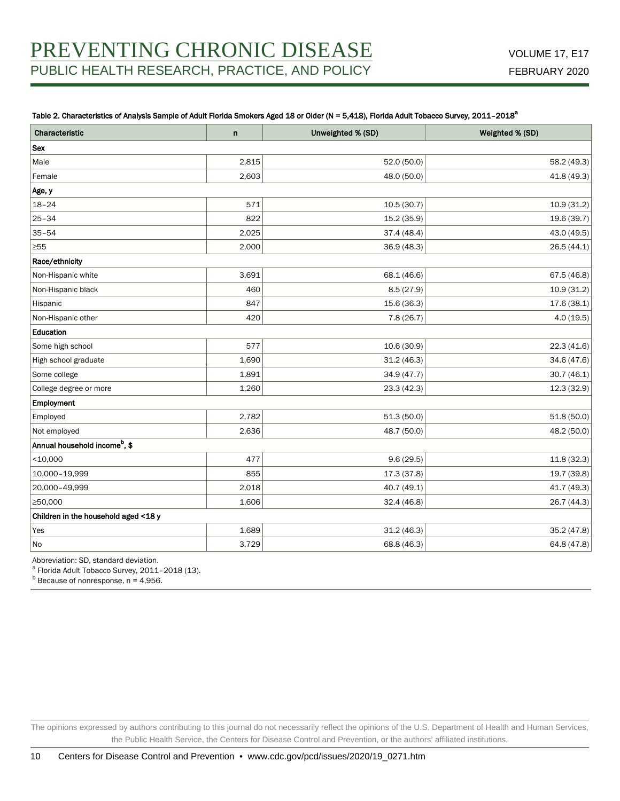### Table 2. Characteristics of Analysis Sample of Adult Florida Smokers Aged 18 or Older (N = 5,418), Florida Adult Tobacco Survey, 2011-2018<sup>a</sup>

| Characteristic                            | $\mathsf{n}$ | Unweighted % (SD) | Weighted % (SD) |  |  |  |
|-------------------------------------------|--------------|-------------------|-----------------|--|--|--|
| <b>Sex</b>                                |              |                   |                 |  |  |  |
| Male                                      | 2,815        | 52.0 (50.0)       | 58.2 (49.3)     |  |  |  |
| Female                                    | 2,603        | 48.0 (50.0)       | 41.8 (49.3)     |  |  |  |
| Age, y                                    |              |                   |                 |  |  |  |
| $18 - 24$                                 | 571          | 10.5(30.7)        | 10.9(31.2)      |  |  |  |
| $25 - 34$                                 | 822          | 15.2 (35.9)       | 19.6 (39.7)     |  |  |  |
| $35 - 54$                                 | 2,025        | 37.4 (48.4)       | 43.0 (49.5)     |  |  |  |
| ≥55                                       | 2,000        | 36.9(48.3)        | 26.5 (44.1)     |  |  |  |
| Race/ethnicity                            |              |                   |                 |  |  |  |
| Non-Hispanic white                        | 3,691        | 68.1 (46.6)       | 67.5 $(46.8)$   |  |  |  |
| Non-Hispanic black                        | 460          | 8.5(27.9)         | 10.9(31.2)      |  |  |  |
| Hispanic                                  | 847          | 15.6 (36.3)       | 17.6(38.1)      |  |  |  |
| Non-Hispanic other                        | 420          | 7.8(26.7)         | 4.0(19.5)       |  |  |  |
| Education                                 |              |                   |                 |  |  |  |
| Some high school                          | 577          | 10.6(30.9)        | 22.3(41.6)      |  |  |  |
| High school graduate                      | 1,690        | 31.2(46.3)        | 34.6 (47.6)     |  |  |  |
| Some college                              | 1,891        | 34.9 (47.7)       | 30.7(46.1)      |  |  |  |
| College degree or more                    | 1,260        | 23.3(42.3)        | 12.3 (32.9)     |  |  |  |
| Employment                                |              |                   |                 |  |  |  |
| Employed                                  | 2,782        | 51.3(50.0)        | 51.8(50.0)      |  |  |  |
| Not employed                              | 2,636        | 48.7 (50.0)       | 48.2 (50.0)     |  |  |  |
| Annual household income <sup>b</sup> , \$ |              |                   |                 |  |  |  |
| $<$ 10,000                                | 477          | 9.6(29.5)         | 11.8(32.3)      |  |  |  |
| 10,000-19,999                             | 855          | 17.3(37.8)        | 19.7 (39.8)     |  |  |  |
| 20,000-49,999                             | 2,018        | 40.7 (49.1)       | 41.7 (49.3)     |  |  |  |
| ≥50,000                                   | 1,606        | 32.4(46.8)        | 26.7 (44.3)     |  |  |  |
| Children in the household aged <18 y      |              |                   |                 |  |  |  |
| Yes                                       | 1,689        | 31.2(46.3)        | 35.2 (47.8)     |  |  |  |
| No                                        | 3,729        | 68.8 (46.3)       | 64.8 (47.8)     |  |  |  |

Abbreviation: SD, standard deviation.

<sup>a</sup> Florida Adult Tobacco Survey, 2011-2018 (13).

 $<sup>b</sup>$  Because of nonresponse, n = 4,956.</sup>